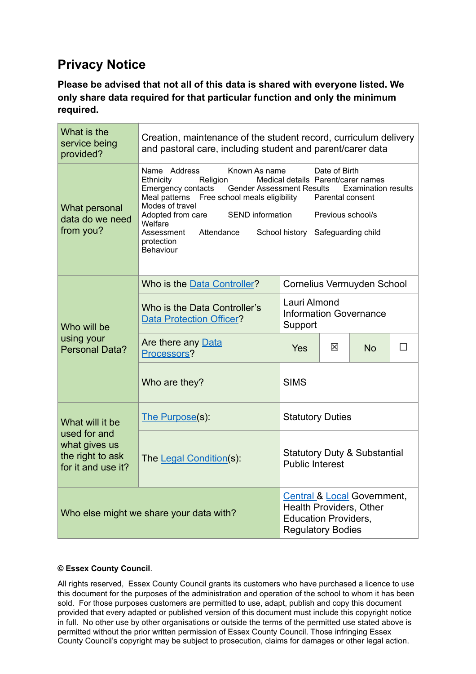## **Privacy Notice**

**Please be advised that not all of this data is shared with everyone listed. We only share data required for that particular function and only the minimum required.**

| What is the<br>service being<br>provided?                                                  | Creation, maintenance of the student record, curriculum delivery<br>and pastoral care, including student and parent/carer data                                                                                                                                                                                                                                                                                                                                             |                                                                   |   |           |        |  |  |
|--------------------------------------------------------------------------------------------|----------------------------------------------------------------------------------------------------------------------------------------------------------------------------------------------------------------------------------------------------------------------------------------------------------------------------------------------------------------------------------------------------------------------------------------------------------------------------|-------------------------------------------------------------------|---|-----------|--------|--|--|
| What personal<br>data do we need<br>from you?                                              | Name Address<br>Known As name<br>Date of Birth<br>Medical details Parent/carer names<br>Religion<br>Ethnicity<br>Emergency contacts<br><b>Gender Assessment Results</b><br><b>Examination results</b><br>Meal patterns<br>Free school meals eligibility<br>Parental consent<br>Modes of travel<br>Adopted from care<br><b>SEND</b> information<br>Previous school/s<br>Welfare<br>Attendance<br>Assessment<br>School history Safeguarding child<br>protection<br>Behaviour |                                                                   |   |           |        |  |  |
| Who will be<br>using your<br><b>Personal Data?</b>                                         | Who is the Data Controller?                                                                                                                                                                                                                                                                                                                                                                                                                                                | Cornelius Vermuyden School                                        |   |           |        |  |  |
|                                                                                            | Lauri Almond<br>Who is the Data Controller's<br><b>Information Governance</b><br><b>Data Protection Officer?</b><br>Support                                                                                                                                                                                                                                                                                                                                                |                                                                   |   |           |        |  |  |
|                                                                                            | Are there any Data<br>Processors?                                                                                                                                                                                                                                                                                                                                                                                                                                          | <b>Yes</b>                                                        | 区 | <b>No</b> | $\Box$ |  |  |
|                                                                                            | Who are they?                                                                                                                                                                                                                                                                                                                                                                                                                                                              | <b>SIMS</b>                                                       |   |           |        |  |  |
| What will it be<br>used for and<br>what gives us<br>the right to ask<br>for it and use it? | The Purpose(s):                                                                                                                                                                                                                                                                                                                                                                                                                                                            | <b>Statutory Duties</b>                                           |   |           |        |  |  |
|                                                                                            | The Legal Condition(s):                                                                                                                                                                                                                                                                                                                                                                                                                                                    | <b>Statutory Duty &amp; Substantial</b><br><b>Public Interest</b> |   |           |        |  |  |
| Who else might we share your data with?                                                    | <b>Central &amp; Local Government,</b><br>Health Providers, Other<br><b>Education Providers,</b><br><b>Regulatory Bodies</b>                                                                                                                                                                                                                                                                                                                                               |                                                                   |   |           |        |  |  |

## **© Essex County Council**.

All rights reserved, Essex County Council grants its customers who have purchased a licence to use this document for the purposes of the administration and operation of the school to whom it has been sold. For those purposes customers are permitted to use, adapt, publish and copy this document provided that every adapted or published version of this document must include this copyright notice in full. No other use by other organisations or outside the terms of the permitted use stated above is permitted without the prior written permission of Essex County Council. Those infringing Essex County Council's copyright may be subject to prosecution, claims for damages or other legal action.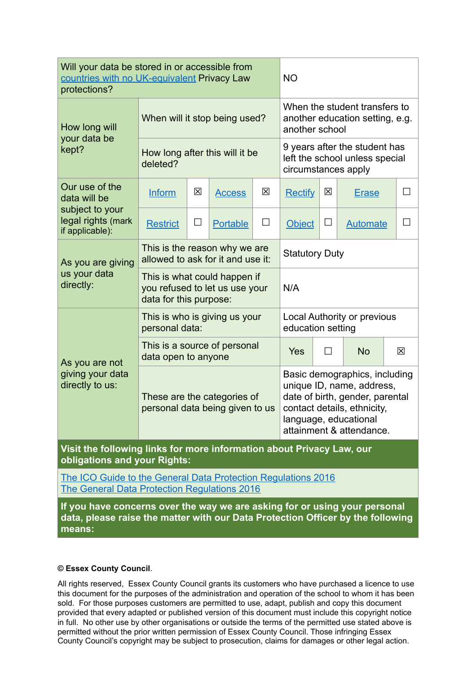| Will your data be stored in or accessible from<br>countries with no UK-equivalent Privacy Law<br>protections?        |                                                                                          |   |                 | <b>NO</b>                                                                                                                                                                         |                |        |                 |     |
|----------------------------------------------------------------------------------------------------------------------|------------------------------------------------------------------------------------------|---|-----------------|-----------------------------------------------------------------------------------------------------------------------------------------------------------------------------------|----------------|--------|-----------------|-----|
| How long will<br>your data be<br>kept?                                                                               | When will it stop being used?                                                            |   |                 | When the student transfers to<br>another education setting, e.g.<br>another school                                                                                                |                |        |                 |     |
|                                                                                                                      | How long after this will it be<br>deleted?                                               |   |                 | 9 years after the student has<br>left the school unless special<br>circumstances apply                                                                                            |                |        |                 |     |
| Our use of the<br>data will be<br>subject to your<br>legal rights (mark<br>if applicable):                           | Inform                                                                                   | 区 | <b>Access</b>   | 区                                                                                                                                                                                 | <b>Rectify</b> | 図      | <b>Erase</b>    | Ш   |
|                                                                                                                      | <b>Restrict</b>                                                                          | ப | <b>Portable</b> | $\Box$                                                                                                                                                                            | <b>Object</b>  | $\Box$ | <b>Automate</b> | - 1 |
| As you are giving<br>us your data<br>directly:                                                                       | This is the reason why we are<br>allowed to ask for it and use it:                       |   |                 | <b>Statutory Duty</b>                                                                                                                                                             |                |        |                 |     |
|                                                                                                                      | This is what could happen if<br>you refused to let us use your<br>data for this purpose: |   |                 |                                                                                                                                                                                   | N/A            |        |                 |     |
| As you are not<br>giving your data<br>directly to us:                                                                | This is who is giving us your<br>personal data:                                          |   |                 | <b>Local Authority or previous</b><br>education setting                                                                                                                           |                |        |                 |     |
|                                                                                                                      | This is a source of personal<br>data open to anyone                                      |   |                 |                                                                                                                                                                                   | Yes            | $\Box$ | <b>No</b>       | 区   |
|                                                                                                                      | These are the categories of<br>personal data being given to us                           |   |                 | Basic demographics, including<br>unique ID, name, address,<br>date of birth, gender, parental<br>contact details, ethnicity,<br>language, educational<br>attainment & attendance. |                |        |                 |     |
| Visit the following links for more information about Privacy Law, our<br>obligations and your Rights:                |                                                                                          |   |                 |                                                                                                                                                                                   |                |        |                 |     |
| The ICO Guide to the General Data Protection Regulations 2016<br><b>The General Data Protection Regulations 2016</b> |                                                                                          |   |                 |                                                                                                                                                                                   |                |        |                 |     |
| If you have concerns over the way we are asking for or using your personal                                           |                                                                                          |   |                 |                                                                                                                                                                                   |                |        |                 |     |

**data, please raise the matter with our Data Protection Officer by the following means:**

## **© Essex County Council**.

All rights reserved, Essex County Council grants its customers who have purchased a licence to use this document for the purposes of the administration and operation of the school to whom it has been sold. For those purposes customers are permitted to use, adapt, publish and copy this document provided that every adapted or published version of this document must include this copyright notice in full. No other use by other organisations or outside the terms of the permitted use stated above is permitted without the prior written permission of Essex County Council. Those infringing Essex County Council's copyright may be subject to prosecution, claims for damages or other legal action.